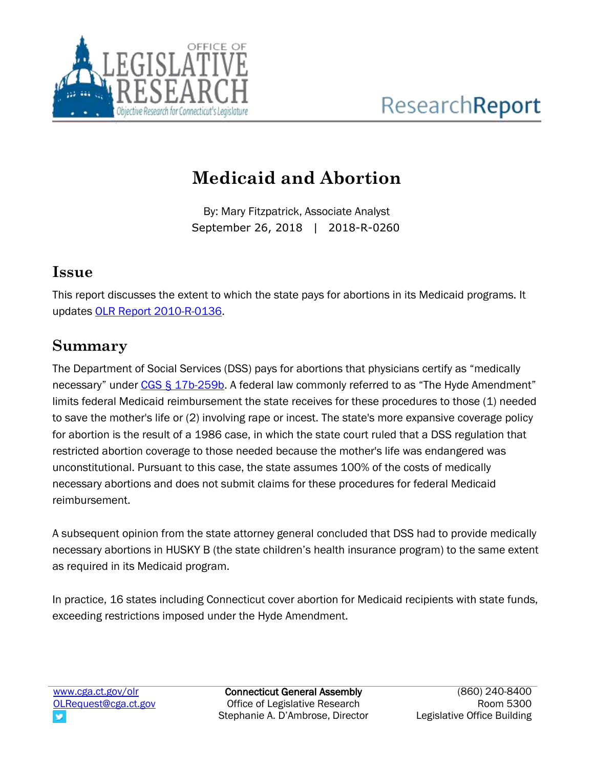

# **Medicaid and Abortion**

By: Mary Fitzpatrick, Associate Analyst September 26, 2018 | 2018-R-0260

#### **Issue**

This report discusses the extent to which the state pays for abortions in its Medicaid programs. It updates [OLR Report 2010-R-0136.](https://www.cga.ct.gov/2010/rpt/2010-R-0136.htm)

#### **Summary**

The Department of Social Services (DSS) pays for abortions that physicians certify as "medically necessary" under [CGS § 17b-259b](https://www.cga.ct.gov/current/pub/chap_319v.htm#sec_17b-259b). A federal law commonly referred to as "The Hyde Amendment" limits federal Medicaid reimbursement the state receives for these procedures to those (1) needed to save the mother's life or (2) involving rape or incest. The state's more expansive coverage policy for abortion is the result of a 1986 case, in which the state court ruled that a DSS regulation that restricted abortion coverage to those needed because the mother's life was endangered was unconstitutional. Pursuant to this case, the state assumes 100% of the costs of medically necessary abortions and does not submit claims for these procedures for federal Medicaid reimbursement.

A subsequent opinion from the state attorney general concluded that DSS had to provide medically necessary abortions in HUSKY B (the state children's health insurance program) to the same extent as required in its Medicaid program.

In practice, 16 states including Connecticut cover abortion for Medicaid recipients with state funds, exceeding restrictions imposed under the Hyde Amendment.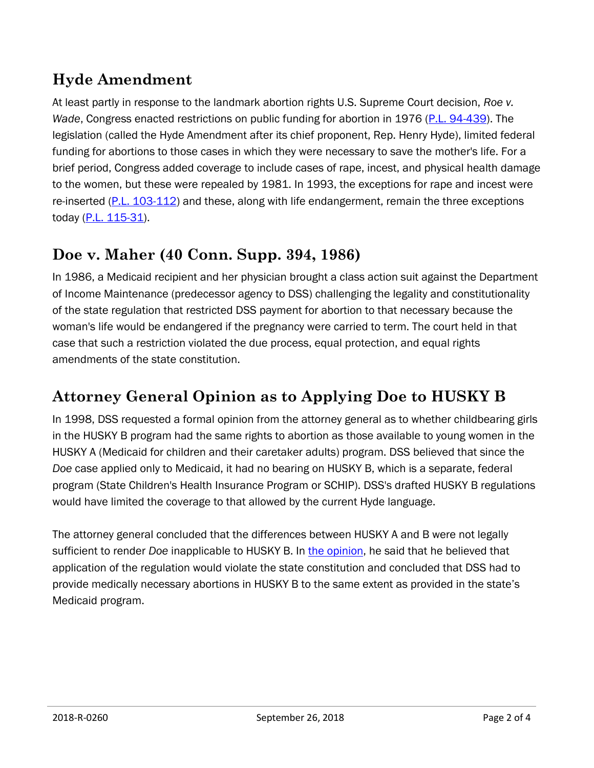## **Hyde Amendment**

At least partly in response to the landmark abortion rights U.S. Supreme Court decision, *Roe v. Wade*, Congress enacted restrictions on public funding for abortion in 1976 [\(P.L. 94-439\)](http://uscode.house.gov/statutes/pl/94/439.pdf). The legislation (called the Hyde Amendment after its chief proponent, Rep. Henry Hyde), limited federal funding for abortions to those cases in which they were necessary to save the mother's life. For a brief period, Congress added coverage to include cases of rape, incest, and physical health damage to the women, but these were repealed by 1981. In 1993, the exceptions for rape and incest were re-inserted [\(P.L. 103-112\)](https://www.gpo.gov/fdsys/pkg/STATUTE-107/pdf/STATUTE-107-Pg1082.pdf) and these, along with life endangerment, remain the three exceptions today [\(P.L. 115-31\)](https://www.congress.gov/115/plaws/publ31/PLAW-115publ31.pdf).

## **Doe v. Maher (40 Conn. Supp. 394, 1986)**

In 1986, a Medicaid recipient and her physician brought a class action suit against the Department of Income Maintenance (predecessor agency to DSS) challenging the legality and constitutionality of the state regulation that restricted DSS payment for abortion to that necessary because the woman's life would be endangered if the pregnancy were carried to term. The court held in that case that such a restriction violated the due process, equal protection, and equal rights amendments of the state constitution.

## **Attorney General Opinion as to Applying Doe to HUSKY B**

In 1998, DSS requested a formal opinion from the attorney general as to whether childbearing girls in the HUSKY B program had the same rights to abortion as those available to young women in the HUSKY A (Medicaid for children and their caretaker adults) program. DSS believed that since the *Doe* case applied only to Medicaid, it had no bearing on HUSKY B, which is a separate, federal program (State Children's Health Insurance Program or SCHIP). DSS's drafted HUSKY B regulations would have limited the coverage to that allowed by the current Hyde language.

The attorney general concluded that the differences between HUSKY A and B were not legally sufficient to render *Doe* inapplicable to HUSKY B. In [the opinion,](https://portal.ct.gov/AG/Opinions/1998-Formal-Opinions/Joyce-A-Thomas-Department-of-Social-Services-1998022-Formal-Opinion-Attorney-General-of-Connecticut) he said that he believed that application of the regulation would violate the state constitution and concluded that DSS had to provide medically necessary abortions in HUSKY B to the same extent as provided in the state's Medicaid program.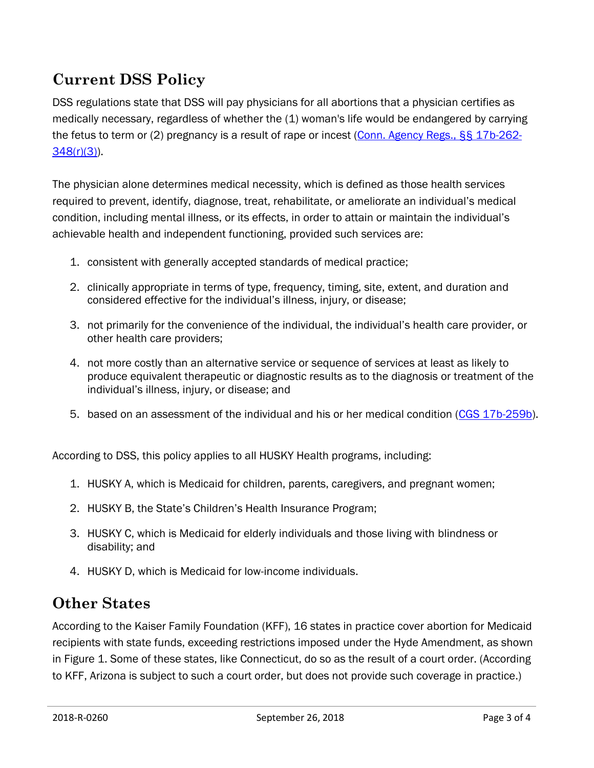## **Current DSS Policy**

DSS regulations state that DSS will pay physicians for all abortions that a physician certifies as medically necessary, regardless of whether the (1) woman's life would be endangered by carrying the fetus to term or (2) pregnancy is a result of rape or incest [\(Conn. Agency Regs., §§ 17b-262-](https://eregulations.ct.gov/eRegsPortal/Browse/RCSA/%7BD49B5CC6-1613-40D5-9E08-6DF7C559395D%7D) [348\(r\)\(3\)\)](https://eregulations.ct.gov/eRegsPortal/Browse/RCSA/%7BD49B5CC6-1613-40D5-9E08-6DF7C559395D%7D).

The physician alone determines medical necessity, which is defined as those health services required to prevent, identify, diagnose, treat, rehabilitate, or ameliorate an individual's medical condition, including mental illness, or its effects, in order to attain or maintain the individual's achievable health and independent functioning, provided such services are:

- 1. consistent with generally accepted standards of medical practice;
- 2. clinically appropriate in terms of type, frequency, timing, site, extent, and duration and considered effective for the individual's illness, injury, or disease;
- 3. not primarily for the convenience of the individual, the individual's health care provider, or other health care providers;
- 4. not more costly than an alternative service or sequence of services at least as likely to produce equivalent therapeutic or diagnostic results as to the diagnosis or treatment of the individual's illness, injury, or disease; and
- 5. based on an assessment of the individual and his or her medical condition [\(CGS 17b-259b\)](https://www.cga.ct.gov/current/pub/chap_319v.htm#sec_17b-259b).

According to DSS, this policy applies to all HUSKY Health programs, including:

- 1. HUSKY A, which is Medicaid for children, parents, caregivers, and pregnant women;
- 2. HUSKY B, the State's Children's Health Insurance Program;
- 3. HUSKY C, which is Medicaid for elderly individuals and those living with blindness or disability; and
- 4. HUSKY D, which is Medicaid for low-income individuals.

#### **Other States**

According to the Kaiser Family Foundation (KFF), 16 states in practice cover abortion for Medicaid recipients with state funds, exceeding restrictions imposed under the Hyde Amendment, as shown in Figure 1. Some of these states, like Connecticut, do so as the result of a court order. (According to KFF, Arizona is subject to such a court order, but does not provide such coverage in practice.)